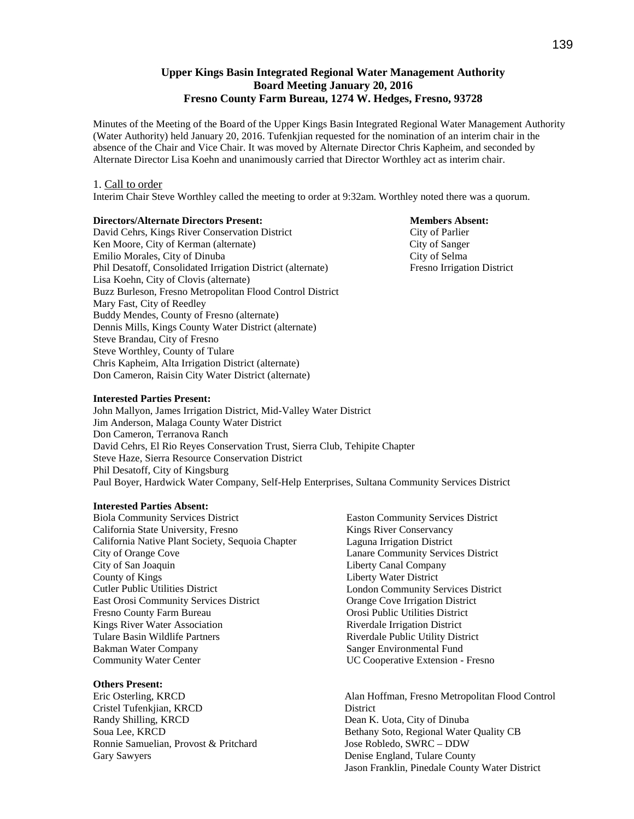# **Upper Kings Basin Integrated Regional Water Management Authority Board Meeting January 20, 2016 Fresno County Farm Bureau, 1274 W. Hedges, Fresno, 93728**

Minutes of the Meeting of the Board of the Upper Kings Basin Integrated Regional Water Management Authority (Water Authority) held January 20, 2016. Tufenkjian requested for the nomination of an interim chair in the absence of the Chair and Vice Chair. It was moved by Alternate Director Chris Kapheim, and seconded by Alternate Director Lisa Koehn and unanimously carried that Director Worthley act as interim chair.

#### 1. Call to order

Interim Chair Steve Worthley called the meeting to order at 9:32am. Worthley noted there was a quorum.

#### **Directors/Alternate Directors Present: Members Absent:**

David Cehrs, Kings River Conservation District City of Parlier Ken Moore, City of Kerman (alternate) City of Sanger Emilio Morales, City of Dinuba City of Selma Phil Desatoff, Consolidated Irrigation District (alternate) Fresno Irrigation District Lisa Koehn, City of Clovis (alternate) Buzz Burleson, Fresno Metropolitan Flood Control District Mary Fast, City of Reedley Buddy Mendes, County of Fresno (alternate) Dennis Mills, Kings County Water District (alternate) Steve Brandau, City of Fresno Steve Worthley, County of Tulare Chris Kapheim, Alta Irrigation District (alternate) Don Cameron, Raisin City Water District (alternate)

#### **Interested Parties Present:**

John Mallyon, James Irrigation District, Mid-Valley Water District Jim Anderson, Malaga County Water District Don Cameron, Terranova Ranch David Cehrs, El Rio Reyes Conservation Trust, Sierra Club, Tehipite Chapter Steve Haze, Sierra Resource Conservation District Phil Desatoff, City of Kingsburg Paul Boyer, Hardwick Water Company, Self-Help Enterprises, Sultana Community Services District

#### **Interested Parties Absent:**

Biola Community Services District California State University, Fresno California Native Plant Society, Sequoia Chapter City of Orange Cove City of San Joaquin County of Kings Cutler Public Utilities District East Orosi Community Services District Fresno County Farm Bureau Kings River Water Association Tulare Basin Wildlife Partners Bakman Water Company Community Water Center

#### **Others Present:**

Eric Osterling, KRCD Cristel Tufenkjian, KRCD Randy Shilling, KRCD Soua Lee, KRCD Ronnie Samuelian, Provost & Pritchard Gary Sawyers

 Easton Community Services District Kings River Conservancy Laguna Irrigation District Lanare Community Services District Liberty Canal Company Liberty Water District London Community Services District Orange Cove Irrigation District Orosi Public Utilities District Riverdale Irrigation District Riverdale Public Utility District Sanger Environmental Fund UC Cooperative Extension - Fresno

Alan Hoffman, Fresno Metropolitan Flood Control **District** Dean K. Uota, City of Dinuba Bethany Soto, Regional Water Quality CB Jose Robledo, SWRC – DDW Denise England, Tulare County Jason Franklin, Pinedale County Water District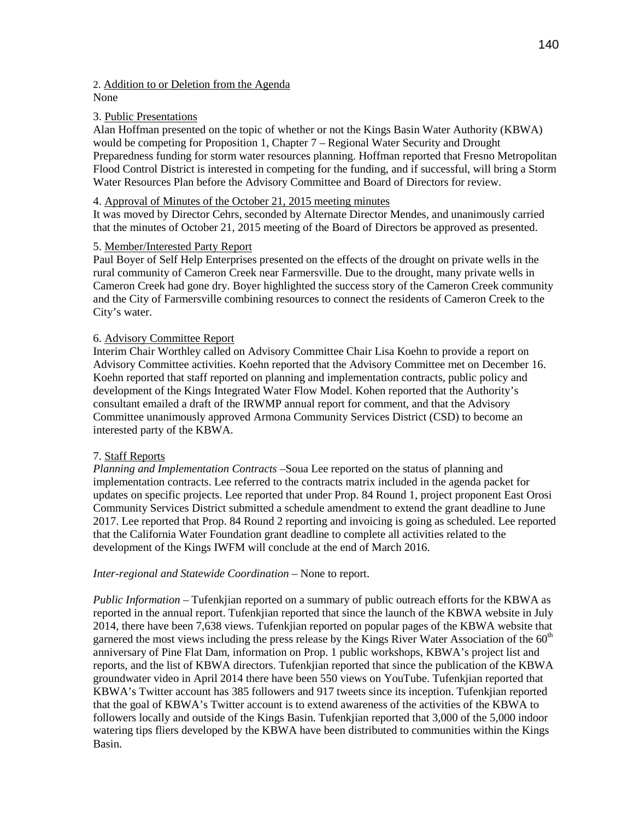# 2. Addition to or Deletion from the Agenda

# None

## 3. Public Presentations

Alan Hoffman presented on the topic of whether or not the Kings Basin Water Authority (KBWA) would be competing for Proposition 1, Chapter 7 – Regional Water Security and Drought Preparedness funding for storm water resources planning. Hoffman reported that Fresno Metropolitan Flood Control District is interested in competing for the funding, and if successful, will bring a Storm Water Resources Plan before the Advisory Committee and Board of Directors for review.

### 4. Approval of Minutes of the October 21, 2015 meeting minutes

It was moved by Director Cehrs, seconded by Alternate Director Mendes, and unanimously carried that the minutes of October 21, 2015 meeting of the Board of Directors be approved as presented.

# 5. Member/Interested Party Report

Paul Boyer of Self Help Enterprises presented on the effects of the drought on private wells in the rural community of Cameron Creek near Farmersville. Due to the drought, many private wells in Cameron Creek had gone dry. Boyer highlighted the success story of the Cameron Creek community and the City of Farmersville combining resources to connect the residents of Cameron Creek to the City's water.

### 6. Advisory Committee Report

Interim Chair Worthley called on Advisory Committee Chair Lisa Koehn to provide a report on Advisory Committee activities. Koehn reported that the Advisory Committee met on December 16. Koehn reported that staff reported on planning and implementation contracts, public policy and development of the Kings Integrated Water Flow Model. Kohen reported that the Authority's consultant emailed a draft of the IRWMP annual report for comment, and that the Advisory Committee unanimously approved Armona Community Services District (CSD) to become an interested party of the KBWA.

#### 7. Staff Reports

*Planning and Implementation Contracts* –Soua Lee reported on the status of planning and implementation contracts. Lee referred to the contracts matrix included in the agenda packet for updates on specific projects. Lee reported that under Prop. 84 Round 1, project proponent East Orosi Community Services District submitted a schedule amendment to extend the grant deadline to June 2017. Lee reported that Prop. 84 Round 2 reporting and invoicing is going as scheduled. Lee reported that the California Water Foundation grant deadline to complete all activities related to the development of the Kings IWFM will conclude at the end of March 2016.

#### *Inter-regional and Statewide Coordination* – None to report.

*Public Information* – Tufenkjian reported on a summary of public outreach efforts for the KBWA as reported in the annual report. Tufenkjian reported that since the launch of the KBWA website in July 2014, there have been 7,638 views. Tufenkjian reported on popular pages of the KBWA website that garnered the most views including the press release by the Kings River Water Association of the  $60<sup>th</sup>$ anniversary of Pine Flat Dam, information on Prop. 1 public workshops, KBWA's project list and reports, and the list of KBWA directors. Tufenkjian reported that since the publication of the KBWA groundwater video in April 2014 there have been 550 views on YouTube. Tufenkjian reported that KBWA's Twitter account has 385 followers and 917 tweets since its inception. Tufenkjian reported that the goal of KBWA's Twitter account is to extend awareness of the activities of the KBWA to followers locally and outside of the Kings Basin. Tufenkjian reported that 3,000 of the 5,000 indoor watering tips fliers developed by the KBWA have been distributed to communities within the Kings Basin.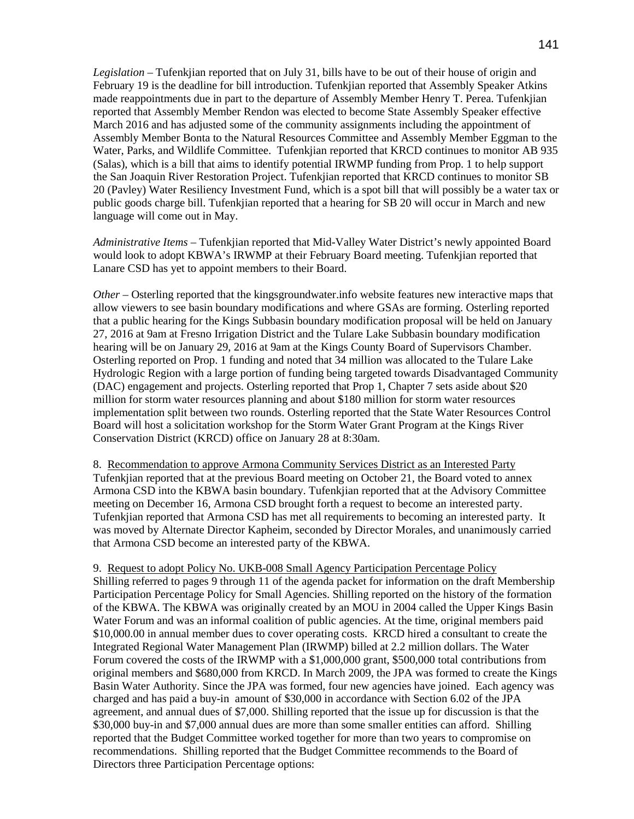*Legislation –* Tufenkjian reported that on July 31, bills have to be out of their house of origin and February 19 is the deadline for bill introduction. Tufenkjian reported that Assembly Speaker Atkins made reappointments due in part to the departure of Assembly Member Henry T. Perea. Tufenkjian reported that Assembly Member Rendon was elected to become State Assembly Speaker effective March 2016 and has adjusted some of the community assignments including the appointment of Assembly Member Bonta to the Natural Resources Committee and Assembly Member Eggman to the Water, Parks, and Wildlife Committee. Tufenkjian reported that KRCD continues to monitor AB 935 (Salas), which is a bill that aims to identify potential IRWMP funding from Prop. 1 to help support the San Joaquin River Restoration Project. Tufenkjian reported that KRCD continues to monitor SB 20 (Pavley) Water Resiliency Investment Fund, which is a spot bill that will possibly be a water tax or public goods charge bill. Tufenkjian reported that a hearing for SB 20 will occur in March and new language will come out in May.

*Administrative Items –* Tufenkjian reported that Mid-Valley Water District's newly appointed Board would look to adopt KBWA's IRWMP at their February Board meeting. Tufenkjian reported that Lanare CSD has yet to appoint members to their Board.

*Other* – Osterling reported that the kingsgroundwater.info website features new interactive maps that allow viewers to see basin boundary modifications and where GSAs are forming. Osterling reported that a public hearing for the Kings Subbasin boundary modification proposal will be held on January 27, 2016 at 9am at Fresno Irrigation District and the Tulare Lake Subbasin boundary modification hearing will be on January 29, 2016 at 9am at the Kings County Board of Supervisors Chamber. Osterling reported on Prop. 1 funding and noted that 34 million was allocated to the Tulare Lake Hydrologic Region with a large portion of funding being targeted towards Disadvantaged Community (DAC) engagement and projects. Osterling reported that Prop 1, Chapter 7 sets aside about \$20 million for storm water resources planning and about \$180 million for storm water resources implementation split between two rounds. Osterling reported that the State Water Resources Control Board will host a solicitation workshop for the Storm Water Grant Program at the Kings River Conservation District (KRCD) office on January 28 at 8:30am.

8. Recommendation to approve Armona Community Services District as an Interested Party Tufenkjian reported that at the previous Board meeting on October 21, the Board voted to annex Armona CSD into the KBWA basin boundary. Tufenkjian reported that at the Advisory Committee meeting on December 16, Armona CSD brought forth a request to become an interested party. Tufenkjian reported that Armona CSD has met all requirements to becoming an interested party. It was moved by Alternate Director Kapheim, seconded by Director Morales, and unanimously carried that Armona CSD become an interested party of the KBWA.

# 9. Request to adopt Policy No. UKB-008 Small Agency Participation Percentage Policy Shilling referred to pages 9 through 11 of the agenda packet for information on the draft Membership

Participation Percentage Policy for Small Agencies. Shilling reported on the history of the formation of the KBWA. The KBWA was originally created by an MOU in 2004 called the Upper Kings Basin Water Forum and was an informal coalition of public agencies. At the time, original members paid \$10,000.00 in annual member dues to cover operating costs. KRCD hired a consultant to create the Integrated Regional Water Management Plan (IRWMP) billed at 2.2 million dollars. The Water Forum covered the costs of the IRWMP with a \$1,000,000 grant, \$500,000 total contributions from original members and \$680,000 from KRCD. In March 2009, the JPA was formed to create the Kings Basin Water Authority. Since the JPA was formed, four new agencies have joined. Each agency was charged and has paid a buy-in amount of \$30,000 in accordance with Section 6.02 of the JPA agreement, and annual dues of \$7,000. Shilling reported that the issue up for discussion is that the \$30,000 buy-in and \$7,000 annual dues are more than some smaller entities can afford. Shilling reported that the Budget Committee worked together for more than two years to compromise on recommendations. Shilling reported that the Budget Committee recommends to the Board of Directors three Participation Percentage options: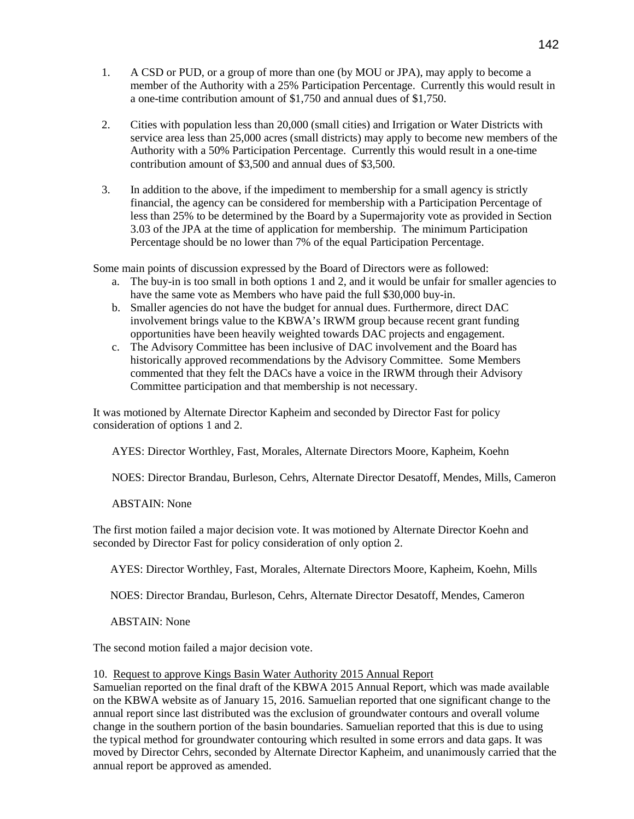- 1. A CSD or PUD, or a group of more than one (by MOU or JPA), may apply to become a member of the Authority with a 25% Participation Percentage. Currently this would result in a one-time contribution amount of \$1,750 and annual dues of \$1,750.
- 2. Cities with population less than 20,000 (small cities) and Irrigation or Water Districts with service area less than 25,000 acres (small districts) may apply to become new members of the Authority with a 50% Participation Percentage. Currently this would result in a one-time contribution amount of \$3,500 and annual dues of \$3,500.
- 3. In addition to the above, if the impediment to membership for a small agency is strictly financial, the agency can be considered for membership with a Participation Percentage of less than 25% to be determined by the Board by a Supermajority vote as provided in Section 3.03 of the JPA at the time of application for membership. The minimum Participation Percentage should be no lower than 7% of the equal Participation Percentage.

Some main points of discussion expressed by the Board of Directors were as followed:

- a. The buy-in is too small in both options 1 and 2, and it would be unfair for smaller agencies to have the same vote as Members who have paid the full \$30,000 buy-in.
- b. Smaller agencies do not have the budget for annual dues. Furthermore, direct DAC involvement brings value to the KBWA's IRWM group because recent grant funding opportunities have been heavily weighted towards DAC projects and engagement.
- c. The Advisory Committee has been inclusive of DAC involvement and the Board has historically approved recommendations by the Advisory Committee. Some Members commented that they felt the DACs have a voice in the IRWM through their Advisory Committee participation and that membership is not necessary.

It was motioned by Alternate Director Kapheim and seconded by Director Fast for policy consideration of options 1 and 2.

AYES: Director Worthley, Fast, Morales, Alternate Directors Moore, Kapheim, Koehn

NOES: Director Brandau, Burleson, Cehrs, Alternate Director Desatoff, Mendes, Mills, Cameron

ABSTAIN: None

The first motion failed a major decision vote. It was motioned by Alternate Director Koehn and seconded by Director Fast for policy consideration of only option 2.

AYES: Director Worthley, Fast, Morales, Alternate Directors Moore, Kapheim, Koehn, Mills

NOES: Director Brandau, Burleson, Cehrs, Alternate Director Desatoff, Mendes, Cameron

ABSTAIN: None

The second motion failed a major decision vote.

#### 10. Request to approve Kings Basin Water Authority 2015 Annual Report

Samuelian reported on the final draft of the KBWA 2015 Annual Report, which was made available on the KBWA website as of January 15, 2016. Samuelian reported that one significant change to the annual report since last distributed was the exclusion of groundwater contours and overall volume change in the southern portion of the basin boundaries. Samuelian reported that this is due to using the typical method for groundwater contouring which resulted in some errors and data gaps. It was moved by Director Cehrs, seconded by Alternate Director Kapheim, and unanimously carried that the annual report be approved as amended.